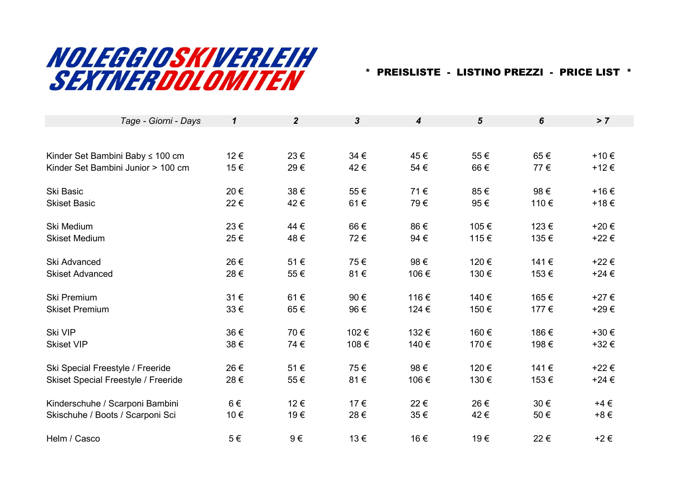## NOLEGGIOSKIVERLEIH SEXTNERDOLOMITEN

\* PREISLISTE - LISTINO PREZZI - PRICE LIST \*

| Tage - Giorni - Days                       | $\boldsymbol{\mathcal{L}}$ | $\overline{2}$ | $\mathbf{3}$ | $\boldsymbol{4}$ | $5\phantom{.0}$ | 6    | > 7       |  |
|--------------------------------------------|----------------------------|----------------|--------------|------------------|-----------------|------|-----------|--|
|                                            |                            |                |              |                  |                 |      |           |  |
| Kinder Set Bambini Baby ≤ 100 cm           | 12€                        | 23€            | 34 €         | 45€              | 55€             | 65€  | +10€      |  |
| Kinder Set Bambini Junior > 100 cm         | 15€                        | 29€            | 42€          | 54€              | 66€             | 77€  | +12€      |  |
| Ski Basic                                  | 20€                        | 38€            | 55€          | 71€              | 85€             | 98€  | +16€      |  |
| <b>Skiset Basic</b>                        | 22€                        | 42€            | 61€          | 79€              | 95€             | 110€ | +18€      |  |
| Ski Medium                                 | 23€                        | 44 €           | 66€          | 86€              | 105€            | 123€ | +20€      |  |
| <b>Skiset Medium</b>                       | 25€                        | 48€            | 72€          | 94 €             | 115€            | 135€ | +22€      |  |
| Ski Advanced                               | 26€                        | 51€            | 75€          | 98€              | 120€            | 141€ | +22€      |  |
| <b>Skiset Advanced</b>                     | 28€                        | 55€            | 81€          | 106€             | 130€            | 153€ | $+24 \in$ |  |
| <b>Ski Premium</b>                         | 31€                        | 61€            | 90€          | 116€             | 140€            | 165€ | +27€      |  |
| <b>Skiset Premium</b>                      | 33€                        | 65€            | 96€          | 124 €            | 150€            | 177€ | +29€      |  |
| Ski VIP                                    | 36€                        | 70€            | 102€         | 132€             | 160€            | 186€ | +30€      |  |
| <b>Skiset VIP</b>                          | 38€                        | 74€            | 108€         | 140€             | 170€            | 198€ | +32€      |  |
| Ski Special Freestyle / Freeride           | 26€                        | 51€            | 75€          | 98€              | 120€            | 141€ | +22€      |  |
| <b>Skiset Special Freestyle / Freeride</b> | 28€                        | 55€            | 81€          | 106€             | 130€            | 153€ | $+24 \in$ |  |
| Kinderschuhe / Scarponi Bambini            | $6 \in$                    | 12€            | 17€          | 22€              | 26€             | 30€  | $+4 \in$  |  |
| Skischuhe / Boots / Scarponi Sci           | 10€                        | 19€            | 28€          | 35€              | 42€             | 50€  | $+8 \in$  |  |
| Helm / Casco                               | $5 \in$                    | 9€             | 13€          | 16€              | 19€             | 22€  | $+2 \in$  |  |